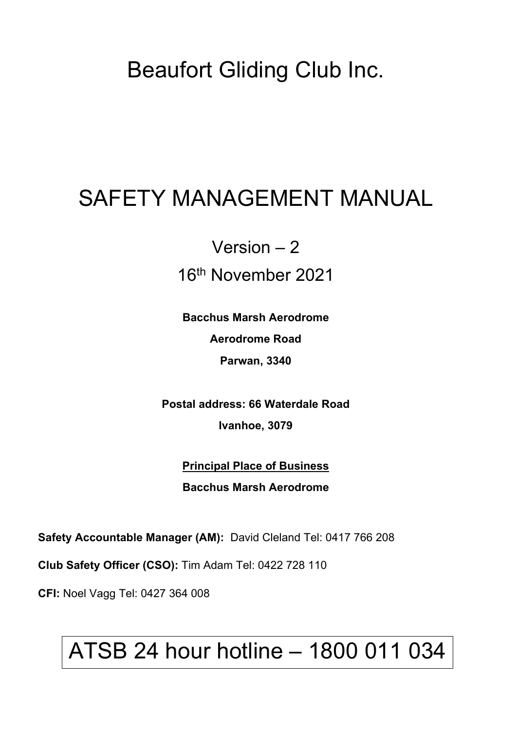## Beaufort Gliding Club Inc.

# SAFETY MANAGEMENT MANUAL

## Version – 2 16th November 2021

**Bacchus Marsh Aerodrome Aerodrome Road Parwan, 3340**

**Postal address: 66 Waterdale Road Ivanhoe, 3079**

> **Principal Place of Business Bacchus Marsh Aerodrome**

**Safety Accountable Manager (AM):** David Cleland Tel: 0417 766 208

**Club Safety Officer (CSO):** Tim Adam Tel: 0422 728 110

**CFI:** Noel Vagg Tel: 0427 364 008

# ATSB 24 hour hotline – 1800 011 034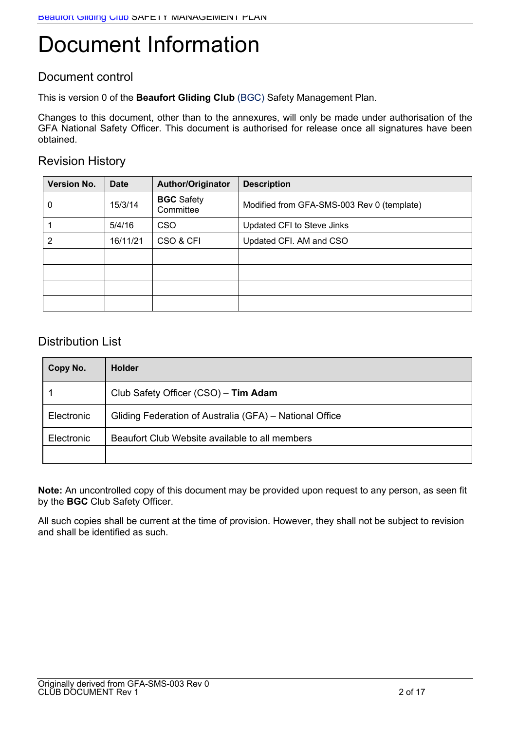# Document Information

### Document control

This is version 0 of the **Beaufort Gliding Club** (BGC) Safety Management Plan.

Changes to this document, other than to the annexures, will only be made under authorisation of the GFA National Safety Officer. This document is authorised for release once all signatures have been obtained.

### Revision History

| <b>Version No.</b> | <b>Date</b> | <b>Author/Originator</b>       | <b>Description</b>                         |
|--------------------|-------------|--------------------------------|--------------------------------------------|
| 0                  | 15/3/14     | <b>BGC</b> Safety<br>Committee | Modified from GFA-SMS-003 Rev 0 (template) |
|                    | 5/4/16      | <b>CSO</b>                     | Updated CFI to Steve Jinks                 |
| 2                  | 16/11/21    | CSO & CFI                      | Updated CFI. AM and CSO                    |
|                    |             |                                |                                            |
|                    |             |                                |                                            |
|                    |             |                                |                                            |
|                    |             |                                |                                            |

### Distribution List

| Copy No.   | <b>Holder</b>                                           |
|------------|---------------------------------------------------------|
|            | Club Safety Officer (CSO) - Tim Adam                    |
| Electronic | Gliding Federation of Australia (GFA) – National Office |
| Electronic | Beaufort Club Website available to all members          |
|            |                                                         |

**Note:** An uncontrolled copy of this document may be provided upon request to any person, as seen fit by the **BGC** Club Safety Officer.

All such copies shall be current at the time of provision. However, they shall not be subject to revision and shall be identified as such.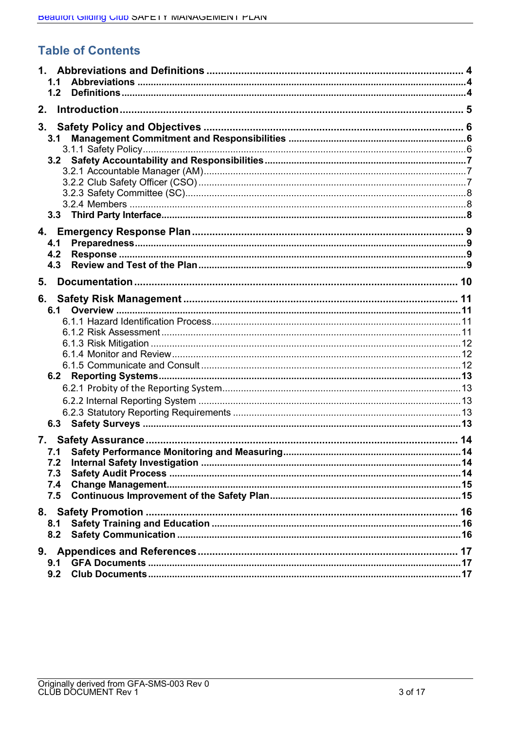### **Table of Contents**

| 1.1        |  |
|------------|--|
| 1.2        |  |
| 2.         |  |
| 3.         |  |
| 3.1        |  |
|            |  |
|            |  |
|            |  |
|            |  |
|            |  |
|            |  |
|            |  |
|            |  |
| 4.1        |  |
| 4.2        |  |
| 4.3        |  |
| 5.         |  |
| 6.         |  |
|            |  |
|            |  |
|            |  |
|            |  |
|            |  |
|            |  |
|            |  |
|            |  |
|            |  |
|            |  |
|            |  |
| 7.         |  |
|            |  |
| 7.2        |  |
| 7.3        |  |
| 7.4<br>7.5 |  |
|            |  |
|            |  |
| 8.1        |  |
| 8.2        |  |
| 9.         |  |
| 9.1        |  |
| 9.2        |  |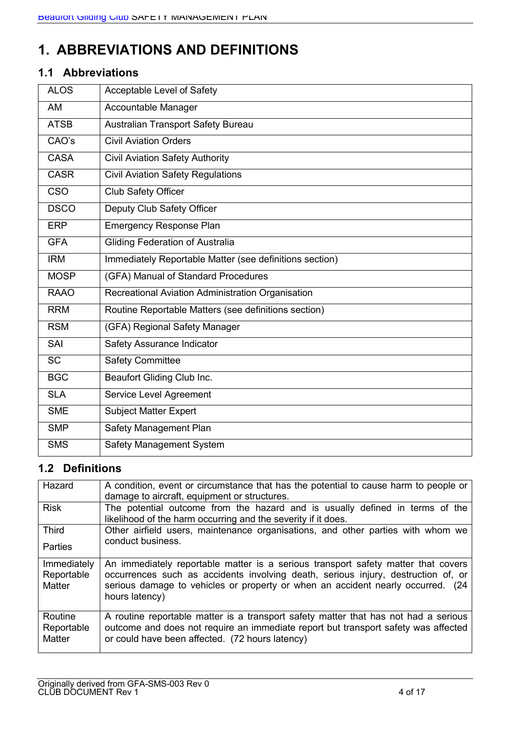### **1. ABBREVIATIONS AND DEFINITIONS**

### **1.1 Abbreviations**

| <b>ALOS</b> | Acceptable Level of Safety                              |
|-------------|---------------------------------------------------------|
| AM          | Accountable Manager                                     |
| <b>ATSB</b> | Australian Transport Safety Bureau                      |
| CAO's       | <b>Civil Aviation Orders</b>                            |
| <b>CASA</b> | <b>Civil Aviation Safety Authority</b>                  |
| <b>CASR</b> | <b>Civil Aviation Safety Regulations</b>                |
| <b>CSO</b>  | Club Safety Officer                                     |
| <b>DSCO</b> | Deputy Club Safety Officer                              |
| <b>ERP</b>  | <b>Emergency Response Plan</b>                          |
| <b>GFA</b>  | <b>Gliding Federation of Australia</b>                  |
| <b>IRM</b>  | Immediately Reportable Matter (see definitions section) |
| <b>MOSP</b> | (GFA) Manual of Standard Procedures                     |
| <b>RAAO</b> | Recreational Aviation Administration Organisation       |
| <b>RRM</b>  | Routine Reportable Matters (see definitions section)    |
| <b>RSM</b>  | (GFA) Regional Safety Manager                           |
| SAI         | Safety Assurance Indicator                              |
| <b>SC</b>   | <b>Safety Committee</b>                                 |
| <b>BGC</b>  | Beaufort Gliding Club Inc.                              |
| <b>SLA</b>  | Service Level Agreement                                 |
| <b>SME</b>  | <b>Subject Matter Expert</b>                            |
| <b>SMP</b>  | Safety Management Plan                                  |
| <b>SMS</b>  | Safety Management System                                |

### **1.2 Definitions**

| Hazard                              | A condition, event or circumstance that has the potential to cause harm to people or<br>damage to aircraft, equipment or structures.                                                                                                                                        |
|-------------------------------------|-----------------------------------------------------------------------------------------------------------------------------------------------------------------------------------------------------------------------------------------------------------------------------|
| <b>Risk</b>                         | The potential outcome from the hazard and is usually defined in terms of the<br>likelihood of the harm occurring and the severity if it does.                                                                                                                               |
| <b>Third</b>                        | Other airfield users, maintenance organisations, and other parties with whom we                                                                                                                                                                                             |
| <b>Parties</b>                      | conduct business.                                                                                                                                                                                                                                                           |
| Immediately<br>Reportable<br>Matter | An immediately reportable matter is a serious transport safety matter that covers<br>occurrences such as accidents involving death, serious injury, destruction of, or<br>serious damage to vehicles or property or when an accident nearly occurred. (24<br>hours latency) |
| Routine<br>Reportable<br>Matter     | A routine reportable matter is a transport safety matter that has not had a serious<br>outcome and does not require an immediate report but transport safety was affected<br>or could have been affected. (72 hours latency)                                                |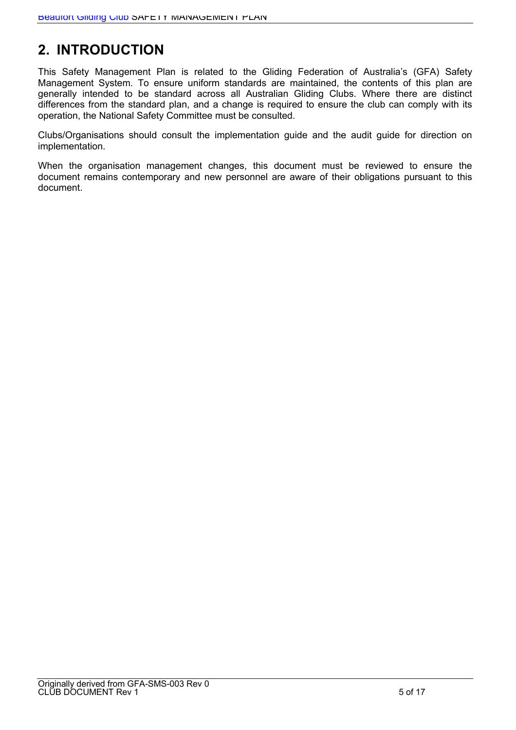### **2. INTRODUCTION**

This Safety Management Plan is related to the Gliding Federation of Australia's (GFA) Safety Management System. To ensure uniform standards are maintained, the contents of this plan are generally intended to be standard across all Australian Gliding Clubs. Where there are distinct differences from the standard plan, and a change is required to ensure the club can comply with its operation, the National Safety Committee must be consulted.

Clubs/Organisations should consult the implementation guide and the audit guide for direction on implementation.

When the organisation management changes, this document must be reviewed to ensure the document remains contemporary and new personnel are aware of their obligations pursuant to this document.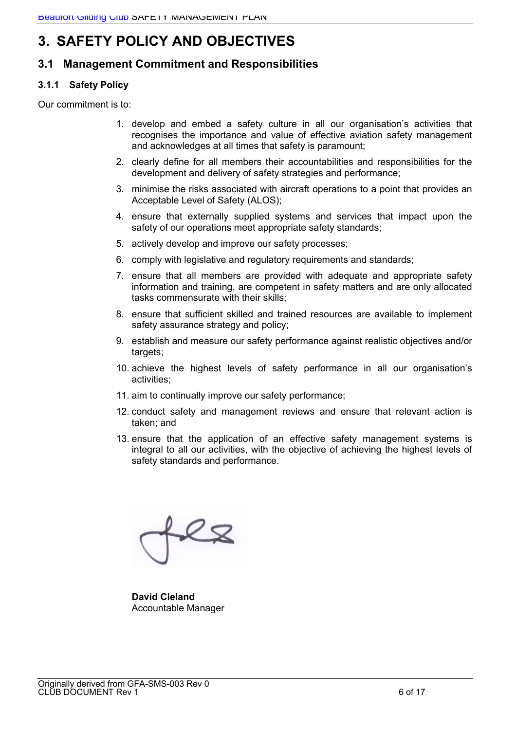### **3. SAFETY POLICY AND OBJECTIVES**

### **3.1 Management Commitment and Responsibilities**

### **3.1.1 Safety Policy**

Our commitment is to:

- 1. develop and embed a safety culture in all our organisation's activities that recognises the importance and value of effective aviation safety management and acknowledges at all times that safety is paramount;
- 2. clearly define for all members their accountabilities and responsibilities for the development and delivery of safety strategies and performance;
- 3. minimise the risks associated with aircraft operations to a point that provides an Acceptable Level of Safety (ALOS);
- 4. ensure that externally supplied systems and services that impact upon the safety of our operations meet appropriate safety standards;
- 5. actively develop and improve our safety processes;
- 6. comply with legislative and regulatory requirements and standards;
- 7. ensure that all members are provided with adequate and appropriate safety information and training, are competent in safety matters and are only allocated tasks commensurate with their skills;
- 8. ensure that sufficient skilled and trained resources are available to implement safety assurance strategy and policy;
- 9. establish and measure our safety performance against realistic objectives and/or targets;
- 10. achieve the highest levels of safety performance in all our organisation's activities;
- 11. aim to continually improve our safety performance;
- 12. conduct safety and management reviews and ensure that relevant action is taken; and
- 13. ensure that the application of an effective safety management systems is integral to all our activities, with the objective of achieving the highest levels of safety standards and performance.

 $22$ 

**David Cleland** Accountable Manager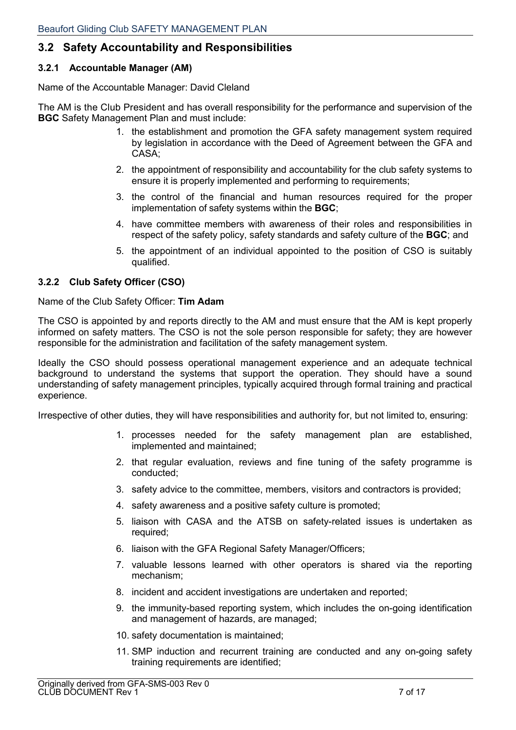### **3.2 Safety Accountability and Responsibilities**

### **3.2.1 Accountable Manager (AM)**

Name of the Accountable Manager: David Cleland

The AM is the Club President and has overall responsibility for the performance and supervision of the **BGC** Safety Management Plan and must include:

- 1. the establishment and promotion the GFA safety management system required by legislation in accordance with the Deed of Agreement between the GFA and CASA;
- 2. the appointment of responsibility and accountability for the club safety systems to ensure it is properly implemented and performing to requirements;
- 3. the control of the financial and human resources required for the proper implementation of safety systems within the **BGC**;
- 4. have committee members with awareness of their roles and responsibilities in respect of the safety policy, safety standards and safety culture of the **BGC**; and
- 5. the appointment of an individual appointed to the position of CSO is suitably qualified.

### **3.2.2 Club Safety Officer (CSO)**

Name of the Club Safety Officer: **Tim Adam**

The CSO is appointed by and reports directly to the AM and must ensure that the AM is kept properly informed on safety matters. The CSO is not the sole person responsible for safety; they are however responsible for the administration and facilitation of the safety management system.

Ideally the CSO should possess operational management experience and an adequate technical background to understand the systems that support the operation. They should have a sound understanding of safety management principles, typically acquired through formal training and practical experience.

Irrespective of other duties, they will have responsibilities and authority for, but not limited to, ensuring:

- 1. processes needed for the safety management plan are established, implemented and maintained;
- 2. that regular evaluation, reviews and fine tuning of the safety programme is conducted;
- 3. safety advice to the committee, members, visitors and contractors is provided;
- 4. safety awareness and a positive safety culture is promoted;
- 5. liaison with CASA and the ATSB on safety-related issues is undertaken as required;
- 6. liaison with the GFA Regional Safety Manager/Officers;
- 7. valuable lessons learned with other operators is shared via the reporting mechanism;
- 8. incident and accident investigations are undertaken and reported;
- 9. the immunity-based reporting system, which includes the on-going identification and management of hazards, are managed;
- 10. safety documentation is maintained;
- 11. SMP induction and recurrent training are conducted and any on-going safety training requirements are identified;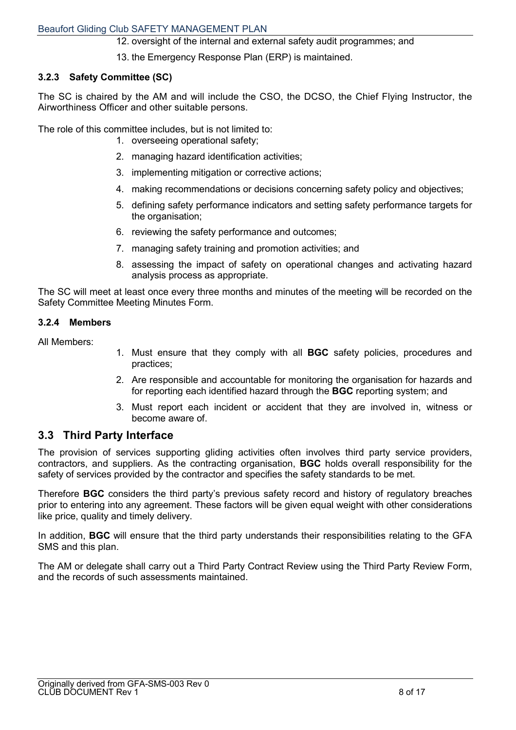12. oversight of the internal and external safety audit programmes; and

13. the Emergency Response Plan (ERP) is maintained.

#### **3.2.3 Safety Committee (SC)**

The SC is chaired by the AM and will include the CSO, the DCSO, the Chief Flying Instructor, the Airworthiness Officer and other suitable persons.

The role of this committee includes, but is not limited to:

- 1. overseeing operational safety;
- 2. managing hazard identification activities;
- 3. implementing mitigation or corrective actions;
- 4. making recommendations or decisions concerning safety policy and objectives;
- 5. defining safety performance indicators and setting safety performance targets for the organisation;
- 6. reviewing the safety performance and outcomes;
- 7. managing safety training and promotion activities; and
- 8. assessing the impact of safety on operational changes and activating hazard analysis process as appropriate.

The SC will meet at least once every three months and minutes of the meeting will be recorded on the Safety Committee Meeting Minutes Form.

#### **3.2.4 Members**

All Members:

- 1. Must ensure that they comply with all **BGC** safety policies, procedures and practices;
- 2. Are responsible and accountable for monitoring the organisation for hazards and for reporting each identified hazard through the **BGC** reporting system; and
- 3. Must report each incident or accident that they are involved in, witness or become aware of.

### **3.3 Third Party Interface**

The provision of services supporting gliding activities often involves third party service providers, contractors, and suppliers. As the contracting organisation, **BGC** holds overall responsibility for the safety of services provided by the contractor and specifies the safety standards to be met.

Therefore **BGC** considers the third party's previous safety record and history of regulatory breaches prior to entering into any agreement. These factors will be given equal weight with other considerations like price, quality and timely delivery.

In addition, **BGC** will ensure that the third party understands their responsibilities relating to the GFA SMS and this plan.

The AM or delegate shall carry out a Third Party Contract Review using the Third Party Review Form, and the records of such assessments maintained.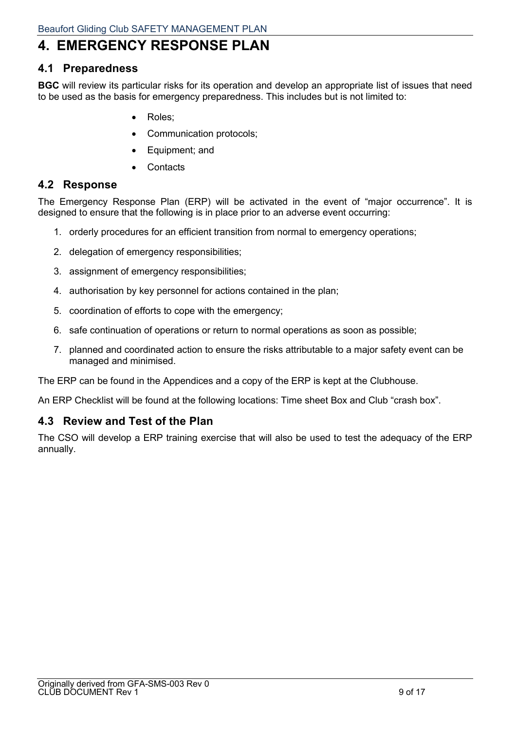### **4. EMERGENCY RESPONSE PLAN**

### **4.1 Preparedness**

**BGC** will review its particular risks for its operation and develop an appropriate list of issues that need to be used as the basis for emergency preparedness. This includes but is not limited to:

- Roles;
- Communication protocols;
- Equipment; and
- **Contacts**

### **4.2 Response**

The Emergency Response Plan (ERP) will be activated in the event of "major occurrence". It is designed to ensure that the following is in place prior to an adverse event occurring:

- 1. orderly procedures for an efficient transition from normal to emergency operations;
- 2. delegation of emergency responsibilities;
- 3. assignment of emergency responsibilities;
- 4. authorisation by key personnel for actions contained in the plan;
- 5. coordination of efforts to cope with the emergency;
- 6. safe continuation of operations or return to normal operations as soon as possible;
- 7. planned and coordinated action to ensure the risks attributable to a major safety event can be managed and minimised.

The ERP can be found in the Appendices and a copy of the ERP is kept at the Clubhouse.

An ERP Checklist will be found at the following locations: Time sheet Box and Club "crash box".

### **4.3 Review and Test of the Plan**

The CSO will develop a ERP training exercise that will also be used to test the adequacy of the ERP annually.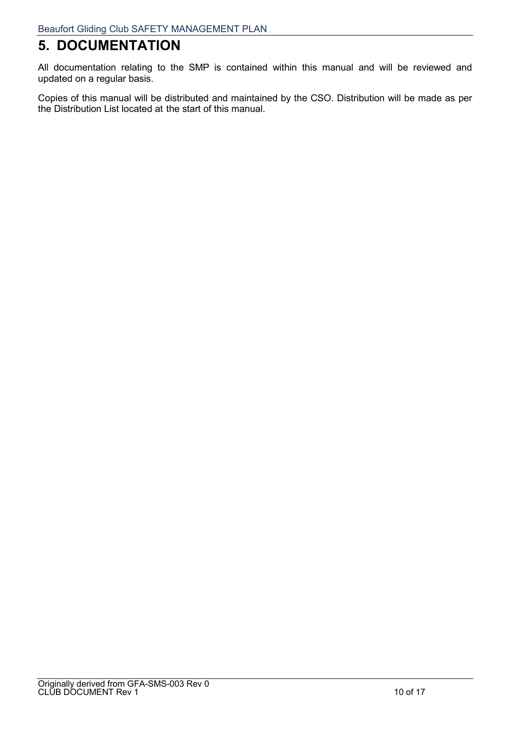### **5. DOCUMENTATION**

All documentation relating to the SMP is contained within this manual and will be reviewed and updated on a regular basis.

Copies of this manual will be distributed and maintained by the CSO. Distribution will be made as per the Distribution List located at the start of this manual.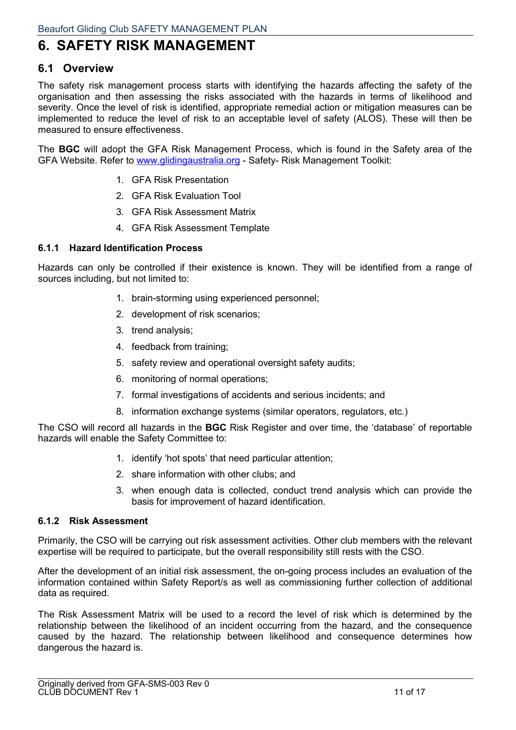### **6. SAFETY RISK MANAGEMENT**

### **6.1 Overview**

The safety risk management process starts with identifying the hazards affecting the safety of the organisation and then assessing the risks associated with the hazards in terms of likelihood and severity. Once the level of risk is identified, appropriate remedial action or mitigation measures can be implemented to reduce the level of risk to an acceptable level of safety (ALOS). These will then be measured to ensure effectiveness.

The **BGC** will adopt the GFA Risk Management Process, which is found in the Safety area of the GFA Website. Refer to www.glidingaustralia.org - Safety- Risk Management Toolkit:

- 1. GFA Risk Presentation
- 2. GFA Risk Evaluation Tool
- 3. GFA Risk Assessment Matrix
- 4. GFA Risk Assessment Template

#### **6.1.1 Hazard Identification Process**

Hazards can only be controlled if their existence is known. They will be identified from a range of sources including, but not limited to:

- 1. brain-storming using experienced personnel;
- 2. development of risk scenarios;
- 3. trend analysis;
- 4. feedback from training;
- 5. safety review and operational oversight safety audits;
- 6. monitoring of normal operations;
- 7. formal investigations of accidents and serious incidents; and
- 8. information exchange systems (similar operators, regulators, etc.)

The CSO will record all hazards in the **BGC** Risk Register and over time, the 'database' of reportable hazards will enable the Safety Committee to:

- 1. identify 'hot spots' that need particular attention;
- 2. share information with other clubs; and
- 3. when enough data is collected, conduct trend analysis which can provide the basis for improvement of hazard identification.

#### **6.1.2 Risk Assessment**

Primarily, the CSO will be carrying out risk assessment activities. Other club members with the relevant expertise will be required to participate, but the overall responsibility still rests with the CSO.

After the development of an initial risk assessment, the on-going process includes an evaluation of the information contained within Safety Report/s as well as commissioning further collection of additional data as required.

The Risk Assessment Matrix will be used to a record the level of risk which is determined by the relationship between the likelihood of an incident occurring from the hazard, and the consequence caused by the hazard. The relationship between likelihood and consequence determines how dangerous the hazard is.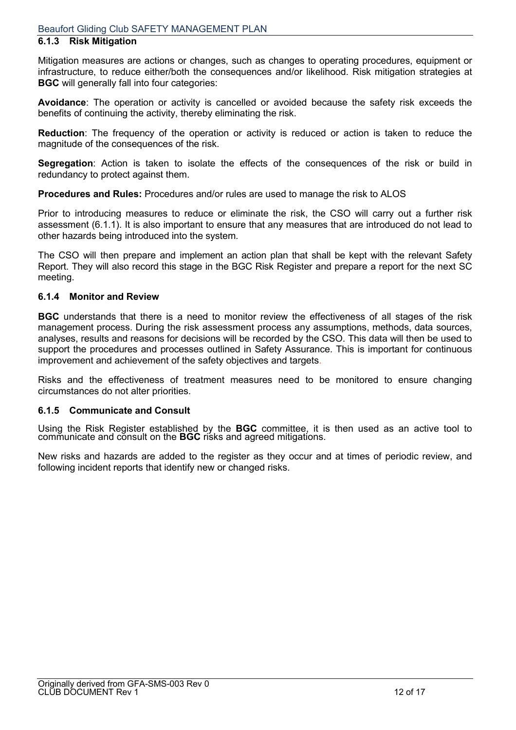#### **6.1.3 Risk Mitigation**

Mitigation measures are actions or changes, such as changes to operating procedures, equipment or infrastructure, to reduce either/both the consequences and/or likelihood. Risk mitigation strategies at **BGC** will generally fall into four categories:

**Avoidance**: The operation or activity is cancelled or avoided because the safety risk exceeds the benefits of continuing the activity, thereby eliminating the risk.

**Reduction**: The frequency of the operation or activity is reduced or action is taken to reduce the magnitude of the consequences of the risk.

**Segregation**: Action is taken to isolate the effects of the consequences of the risk or build in redundancy to protect against them.

**Procedures and Rules:** Procedures and/or rules are used to manage the risk to ALOS

Prior to introducing measures to reduce or eliminate the risk, the CSO will carry out a further risk assessment (6.1.1). It is also important to ensure that any measures that are introduced do not lead to other hazards being introduced into the system.

The CSO will then prepare and implement an action plan that shall be kept with the relevant Safety Report. They will also record this stage in the BGC Risk Register and prepare a report for the next SC meeting.

#### **6.1.4 Monitor and Review**

**BGC** understands that there is a need to monitor review the effectiveness of all stages of the risk management process. During the risk assessment process any assumptions, methods, data sources, analyses, results and reasons for decisions will be recorded by the CSO. This data will then be used to support the procedures and processes outlined in Safety Assurance. This is important for continuous improvement and achievement of the safety objectives and targets.

Risks and the effectiveness of treatment measures need to be monitored to ensure changing circumstances do not alter priorities.

#### **6.1.5 Communicate and Consult**

Using the Risk Register established by the **BGC** committee, it is then used as an active tool to communicate and consult on the **BGC** risks and agreed mitigations.

New risks and hazards are added to the register as they occur and at times of periodic review, and following incident reports that identify new or changed risks.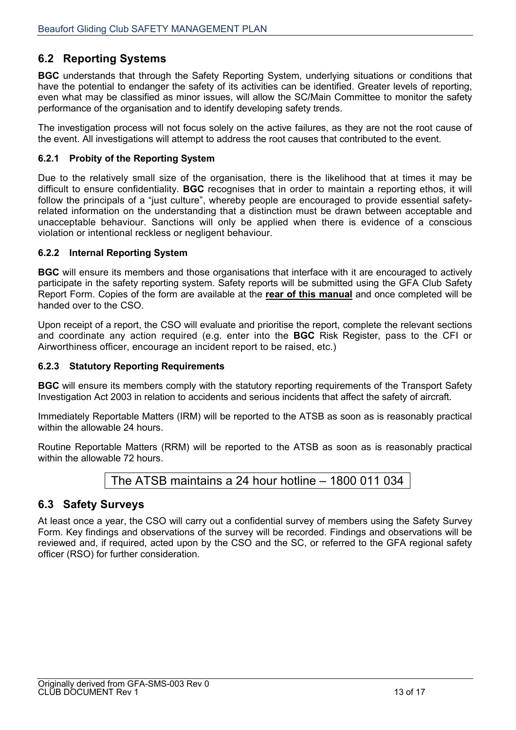### **6.2 Reporting Systems**

**BGC** understands that through the Safety Reporting System, underlying situations or conditions that have the potential to endanger the safety of its activities can be identified. Greater levels of reporting, even what may be classified as minor issues, will allow the SC/Main Committee to monitor the safety performance of the organisation and to identify developing safety trends.

The investigation process will not focus solely on the active failures, as they are not the root cause of the event. All investigations will attempt to address the root causes that contributed to the event.

#### **6.2.1 Probity of the Reporting System**

Due to the relatively small size of the organisation, there is the likelihood that at times it may be difficult to ensure confidentiality. **BGC** recognises that in order to maintain a reporting ethos, it will follow the principals of a "just culture", whereby people are encouraged to provide essential safetyrelated information on the understanding that a distinction must be drawn between acceptable and unacceptable behaviour. Sanctions will only be applied when there is evidence of a conscious violation or intentional reckless or negligent behaviour.

#### **6.2.2 Internal Reporting System**

**BGC** will ensure its members and those organisations that interface with it are encouraged to actively participate in the safety reporting system. Safety reports will be submitted using the GFA Club Safety Report Form. Copies of the form are available at the **rear of this manual** and once completed will be handed over to the CSO.

Upon receipt of a report, the CSO will evaluate and prioritise the report, complete the relevant sections and coordinate any action required (e.g. enter into the **BGC** Risk Register, pass to the CFI or Airworthiness officer, encourage an incident report to be raised, etc.)

#### **6.2.3 Statutory Reporting Requirements**

**BGC** will ensure its members comply with the statutory reporting requirements of the Transport Safety Investigation Act 2003 in relation to accidents and serious incidents that affect the safety of aircraft.

Immediately Reportable Matters (IRM) will be reported to the ATSB as soon as is reasonably practical within the allowable 24 hours.

Routine Reportable Matters (RRM) will be reported to the ATSB as soon as is reasonably practical within the allowable 72 hours.

The ATSB maintains a 24 hour hotline – 1800 011 034

### **6.3 Safety Surveys**

At least once a year, the CSO will carry out a confidential survey of members using the Safety Survey Form. Key findings and observations of the survey will be recorded. Findings and observations will be reviewed and, if required, acted upon by the CSO and the SC, or referred to the GFA regional safety officer (RSO) for further consideration.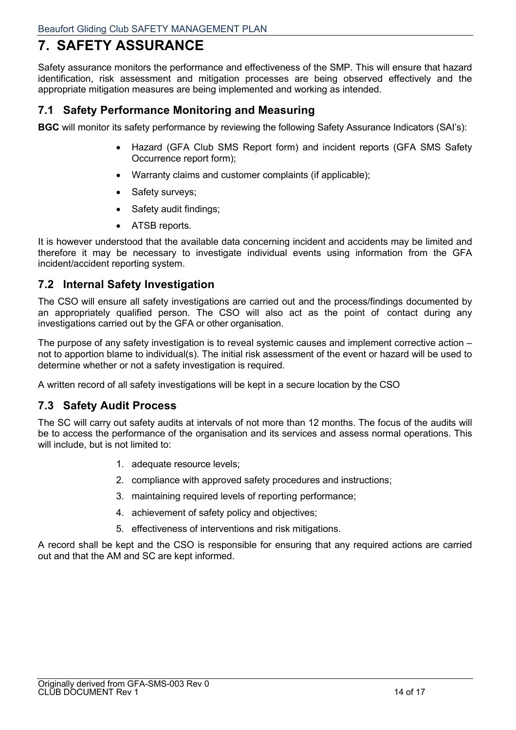### **7. SAFETY ASSURANCE**

Safety assurance monitors the performance and effectiveness of the SMP. This will ensure that hazard identification, risk assessment and mitigation processes are being observed effectively and the appropriate mitigation measures are being implemented and working as intended.

### **7.1 Safety Performance Monitoring and Measuring**

**BGC** will monitor its safety performance by reviewing the following Safety Assurance Indicators (SAI's):

- Hazard (GFA Club SMS Report form) and incident reports (GFA SMS Safety Occurrence report form);
- Warranty claims and customer complaints (if applicable);
- Safety surveys;
- Safety audit findings:
- ATSB reports.

It is however understood that the available data concerning incident and accidents may be limited and therefore it may be necessary to investigate individual events using information from the GFA incident/accident reporting system.

### **7.2 Internal Safety Investigation**

The CSO will ensure all safety investigations are carried out and the process/findings documented by an appropriately qualified person. The CSO will also act as the point of contact during any investigations carried out by the GFA or other organisation.

The purpose of any safety investigation is to reveal systemic causes and implement corrective action – not to apportion blame to individual(s). The initial risk assessment of the event or hazard will be used to determine whether or not a safety investigation is required.

A written record of all safety investigations will be kept in a secure location by the CSO

### **7.3 Safety Audit Process**

The SC will carry out safety audits at intervals of not more than 12 months. The focus of the audits will be to access the performance of the organisation and its services and assess normal operations. This will include, but is not limited to:

- 1. adequate resource levels;
- 2. compliance with approved safety procedures and instructions;
- 3. maintaining required levels of reporting performance;
- 4. achievement of safety policy and objectives;
- 5. effectiveness of interventions and risk mitigations.

A record shall be kept and the CSO is responsible for ensuring that any required actions are carried out and that the AM and SC are kept informed.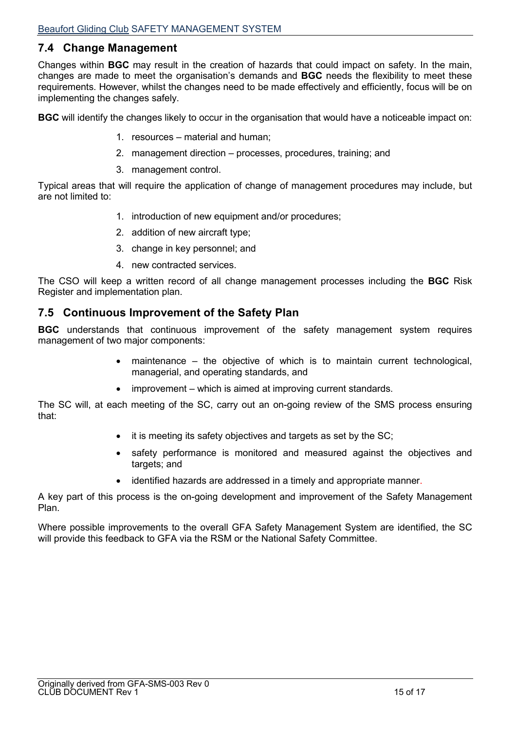### **7.4 Change Management**

Changes within **BGC** may result in the creation of hazards that could impact on safety. In the main, changes are made to meet the organisation's demands and **BGC** needs the flexibility to meet these requirements. However, whilst the changes need to be made effectively and efficiently, focus will be on implementing the changes safely.

**BGC** will identify the changes likely to occur in the organisation that would have a noticeable impact on:

- 1. resources material and human;
- 2. management direction processes, procedures, training; and
- 3. management control.

Typical areas that will require the application of change of management procedures may include, but are not limited to:

- 1. introduction of new equipment and/or procedures;
- 2. addition of new aircraft type;
- 3. change in key personnel; and
- 4. new contracted services.

The CSO will keep a written record of all change management processes including the **BGC** Risk Register and implementation plan.

### **7.5 Continuous Improvement of the Safety Plan**

**BGC** understands that continuous improvement of the safety management system requires management of two major components:

- maintenance the objective of which is to maintain current technological, managerial, and operating standards, and
- improvement which is aimed at improving current standards.

The SC will, at each meeting of the SC, carry out an on-going review of the SMS process ensuring that:

- it is meeting its safety objectives and targets as set by the SC;
- safety performance is monitored and measured against the objectives and targets; and
- identified hazards are addressed in a timely and appropriate manner.

A key part of this process is the on-going development and improvement of the Safety Management Plan.

Where possible improvements to the overall GFA Safety Management System are identified, the SC will provide this feedback to GFA via the RSM or the National Safety Committee.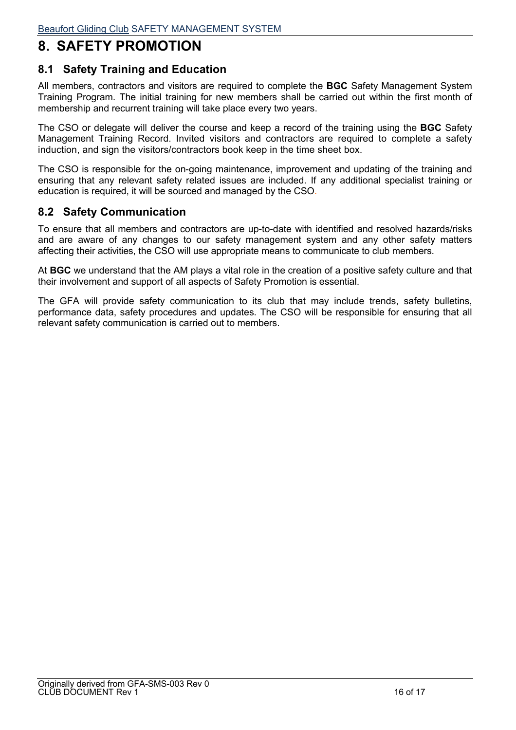### **8. SAFETY PROMOTION**

### **8.1 Safety Training and Education**

All members, contractors and visitors are required to complete the **BGC** Safety Management System Training Program. The initial training for new members shall be carried out within the first month of membership and recurrent training will take place every two years.

The CSO or delegate will deliver the course and keep a record of the training using the **BGC** Safety Management Training Record. Invited visitors and contractors are required to complete a safety induction, and sign the visitors/contractors book keep in the time sheet box.

The CSO is responsible for the on-going maintenance, improvement and updating of the training and ensuring that any relevant safety related issues are included. If any additional specialist training or education is required, it will be sourced and managed by the CSO.

### **8.2 Safety Communication**

To ensure that all members and contractors are up-to-date with identified and resolved hazards/risks and are aware of any changes to our safety management system and any other safety matters affecting their activities, the CSO will use appropriate means to communicate to club members.

At **BGC** we understand that the AM plays a vital role in the creation of a positive safety culture and that their involvement and support of all aspects of Safety Promotion is essential.

The GFA will provide safety communication to its club that may include trends, safety bulletins, performance data, safety procedures and updates. The CSO will be responsible for ensuring that all relevant safety communication is carried out to members.